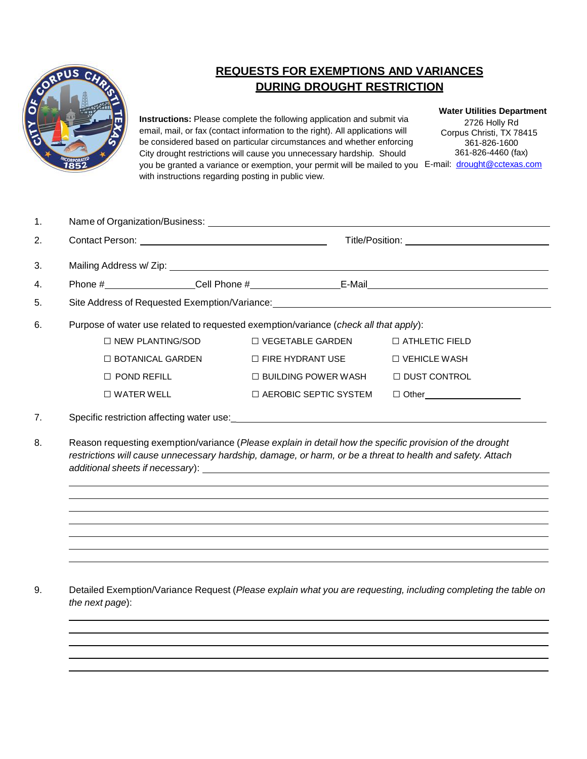

## **REQUESTS FOR EXEMPTIONS AND VARIANCES DURING DROUGHT RESTRICTION**

**Instructions:** Please complete the following application and submit via email, mail, or fax (contact information to the right). All applications will be considered based on particular circumstances and whether enforcing City drought restrictions will cause you unnecessary hardship. Should you be granted a variance or exemption, your permit will be mailed to you E-mail: [drought@cctexas.com](mailto:drought@cctexas.com) with instructions regarding posting in public view.

## **Water Utilities Department**

2726 Holly Rd Corpus Christi, TX 78415 361-826-1600 361-826-4460 (fax)

| 1. |                                                                                      |  |                                                                   |                               |  |
|----|--------------------------------------------------------------------------------------|--|-------------------------------------------------------------------|-------------------------------|--|
| 2. |                                                                                      |  |                                                                   |                               |  |
| 3. |                                                                                      |  |                                                                   |                               |  |
| 4. |                                                                                      |  |                                                                   |                               |  |
| 5. |                                                                                      |  |                                                                   |                               |  |
| 6. | Purpose of water use related to requested exemption/variance (check all that apply): |  |                                                                   |                               |  |
|    |                                                                                      |  | □ NEW PLANTING/SOD       □ VEGETABLE GARDEN      □ ATHLETIC FIELD |                               |  |
|    |                                                                                      |  | □ BOTANICAL GARDEN □ FIRE HYDRANT USE □ VEHICLE WASH              |                               |  |
|    | $\Box$ POND REFILL                                                                   |  | $\Box$ BUILDING POWER WASH $\Box$ DUST CONTROL                    |                               |  |
|    | $\square$ WATER WELL                                                                 |  | $\Box$ AEROBIC SEPTIC SYSTEM                                      | □ Other______________________ |  |
| 7. |                                                                                      |  |                                                                   |                               |  |

8. Reason requesting exemption/variance (*Please explain in detail how the specific provision of the drought restrictions will cause unnecessary hardship, damage, or harm, or be a threat to health and safety. Attach additional sheets if necessary*):

9. Detailed Exemption/Variance Request (*Please explain what you are requesting, including completing the table on the next page*):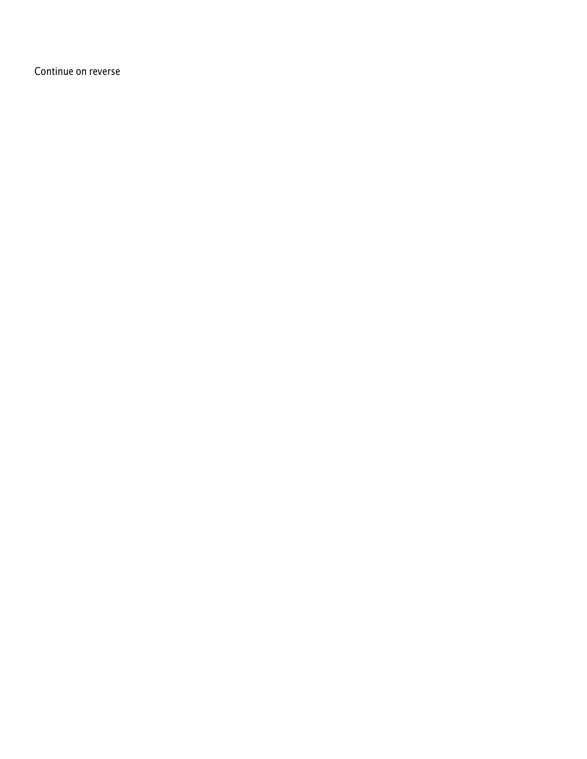Continue on reverse